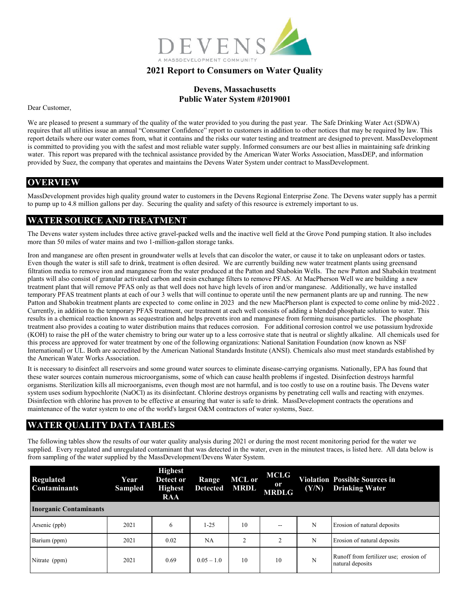

## **2021 Report to Consumers on Water Quality**

#### **Devens, Massachusetts Public Water System #2019001**

Dear Customer,

We are pleased to present a summary of the quality of the water provided to you during the past year. The Safe Drinking Water Act (SDWA) requires that all utilities issue an annual "Consumer Confidence" report to customers in addition to other notices that may be required by law. This report details where our water comes from, what it contains and the risks our water testing and treatment are designed to prevent. MassDevelopment is committed to providing you with the safest and most reliable water supply. Informed consumers are our best allies in maintaining safe drinking water. This report was prepared with the technical assistance provided by the American Water Works Association, MassDEP, and information provided by Suez, the company that operates and maintains the Devens Water System under contract to MassDevelopment.

#### **OVERVIEW**

MassDevelopment provides high quality ground water to customers in the Devens Regional Enterprise Zone. The Devens water supply has a permit to pump up to 4.8 million gallons per day. Securing the quality and safety of this resource is extremely important to us.

## **WATER SOURCE AND TREATMENT**

The Devens water system includes three active gravel-packed wells and the inactive well field at the Grove Pond pumping station. It also includes more than 50 miles of water mains and two 1-million-gallon storage tanks.

Iron and manganese are often present in groundwater wells at levels that can discolor the water, or cause it to take on unpleasant odors or tastes. Even though the water is still safe to drink, treatment is often desired. We are currently building new water treatment plants using greensand filtration media to remove iron and manganese from the water produced at the Patton and Shabokin Wells. The new Patton and Shabokin treatment plants will also consist of granular activated carbon and resin exchange filters to remove PFAS. At MacPherson Well we are building a new treatment plant that will remove PFAS only as that well does not have high levels of iron and/or manganese. Additionally, we have installed temporary PFAS treatment plants at each of our 3 wells that will continue to operate until the new permanent plants are up and running. The new Patton and Shabokin treatment plants are expected to come online in 2023 and the new MacPherson plant is expected to come online by mid-2022. Currently, in addition to the temporary PFAS treatment, our treatment at each well consists of adding a blended phosphate solution to water. This results in a chemical reaction known as sequestration and helps prevents iron and manganese from forming nuisance particles. The phosphate treatment also provides a coating to water distribution mains that reduces corrosion. For additional corrosion control we use potassium hydroxide (KOH) to raise the pH of the water chemistry to bring our water up to a less corrosive state that is neutral or slightly alkaline. All chemicals used for this process are approved for water treatment by one of the following organizations: National Sanitation Foundation (now known as NSF International) or UL. Both are accredited by the American National Standards Institute (ANSI). Chemicals also must meet standards established by the American Water Works Association.

It is necessary to disinfect all reservoirs and some ground water sources to eliminate disease-carrying organisms. Nationally, EPA has found that these water sources contain numerous microorganisms, some of which can cause health problems if ingested. Disinfection destroys harmful organisms. Sterilization kills all microorganisms, even though most are not harmful, and is too costly to use on a routine basis. The Devens water system uses sodium hypochlorite (NaOCl) as its disinfectant. Chlorine destroys organisms by penetrating cell walls and reacting with enzymes. Disinfection with chlorine has proven to be effective at ensuring that water is safe to drink. MassDevelopment contracts the operations and maintenance of the water system to one of the world's largest O&M contractors of water systems, Suez.

### **WATER QUALITY DATA TABLES**

The following tables show the results of our water quality analysis during 2021 or during the most recent monitoring period for the water we supplied. Every regulated and unregulated contaminant that was detected in the water, even in the minutest traces, is listed here. All data below is from sampling of the water supplied by the MassDevelopment/Devens Water System.

| <b>Regulated</b><br><b>Contaminants</b> | Year<br><b>Sampled</b> | <b>Highest</b><br>Detect or<br><b>Highest</b><br><b>RAA</b> | Range<br><b>Detected</b> | <b>MCL</b> or<br><b>MRDL</b> | MCLG<br>$\mathbf{0}$ r<br><b>MRDLG</b> | (Y/N) | <b>Violation Possible Sources in</b><br><b>Drinking Water</b> |
|-----------------------------------------|------------------------|-------------------------------------------------------------|--------------------------|------------------------------|----------------------------------------|-------|---------------------------------------------------------------|
| <b>Inorganic Contaminants</b>           |                        |                                                             |                          |                              |                                        |       |                                                               |
| Arsenic (ppb)                           | 2021                   | 6                                                           | 1-25                     | 10                           | $\overline{\phantom{a}}$               | N     | Erosion of natural deposits                                   |
| Barium (ppm)                            | 2021                   | 0.02                                                        | NA                       | $\overline{2}$               | 2                                      | N     | Erosion of natural deposits                                   |
| Nitrate (ppm)                           | 2021                   | 0.69                                                        | $0.05 - 1.0$             | 10                           | 10                                     | N     | Runoff from fertilizer use; erosion of<br>natural deposits    |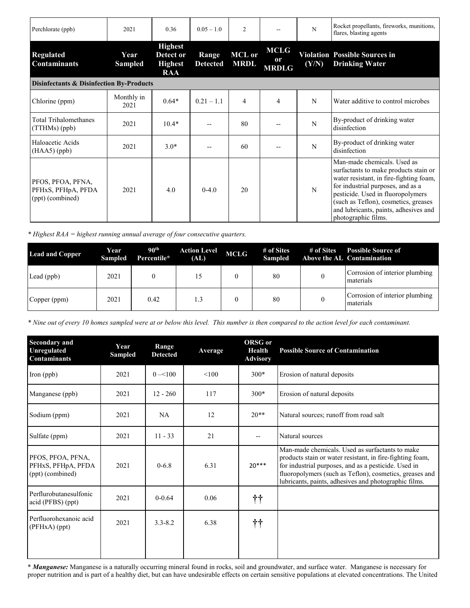| Perchlorate (ppb)                                           | 2021               | 0.36                                                        | $0.05 - 1.0$             | $\overline{2}$               |                                   | N     | Rocket propellants, fireworks, munitions,<br>flares, blasting agents                                                                                                                                                                                                                              |  |
|-------------------------------------------------------------|--------------------|-------------------------------------------------------------|--------------------------|------------------------------|-----------------------------------|-------|---------------------------------------------------------------------------------------------------------------------------------------------------------------------------------------------------------------------------------------------------------------------------------------------------|--|
| <b>Regulated</b><br><b>Contaminants</b>                     | Year<br>Sampled    | <b>Highest</b><br>Detect or<br><b>Highest</b><br><b>RAA</b> | Range<br><b>Detected</b> | <b>MCL</b> or<br><b>MRDL</b> | <b>MCLG</b><br>0r<br><b>MRDLG</b> | (Y/N) | <b>Violation Possible Sources in</b><br><b>Drinking Water</b>                                                                                                                                                                                                                                     |  |
| Disinfectants & Disinfection By-Products                    |                    |                                                             |                          |                              |                                   |       |                                                                                                                                                                                                                                                                                                   |  |
| Chlorine (ppm)                                              | Monthly in<br>2021 | $0.64*$                                                     | $0.21 - 1.1$             | $\overline{4}$               | $\overline{4}$                    | N     | Water additive to control microbes                                                                                                                                                                                                                                                                |  |
| <b>Total Trihalomethanes</b><br>(TTHMs) (ppb)               | 2021               | $10.4*$                                                     |                          | 80                           |                                   | N     | By-product of drinking water<br>disinfection                                                                                                                                                                                                                                                      |  |
| Haloacetic Acids<br>$(HAA5)$ (ppb)                          | 2021               | $3.0*$                                                      |                          | 60                           |                                   | N     | By-product of drinking water<br>disinfection                                                                                                                                                                                                                                                      |  |
| PFOS, PFOA, PFNA,<br>PFHxS, PFHpA, PFDA<br>(ppt) (combined) | 2021               | 4.0                                                         | $0-4.0$                  | 20                           |                                   | N     | Man-made chemicals. Used as<br>surfactants to make products stain or<br>water resistant, in fire-fighting foam,<br>for industrial purposes, and as a<br>pesticide. Used in fluoropolymers<br>(such as Teflon), cosmetics, greases<br>and lubricants, paints, adhesives and<br>photographic films. |  |

*\* Highest RAA = highest running annual average of four consecutive quarters.* 

| <b>Lead and Copper</b> | Year<br><b>Sampled</b> | 90 <sup>th</sup><br>Percentile* | <b>Action Level</b><br>(AL) | <b>MCLG</b> | # of Sites<br><b>Sampled</b> | # of Sites | <b>Possible Source of</b><br>Above the AL Contamination |
|------------------------|------------------------|---------------------------------|-----------------------------|-------------|------------------------------|------------|---------------------------------------------------------|
| Lead (ppb)             | 2021                   |                                 | 15                          |             | 80                           |            | Corrosion of interior plumbing<br>materials             |
| Copper (ppm)           | 2021                   | 0.42                            | 1.3                         |             | 80                           |            | Corrosion of interior plumbing<br>materials             |

*\* Nine out of every 10 homes sampled were at or below this level. This number is then compared to the action level for each contaminant.* 

| <b>Secondary</b> and<br>Unregulated<br><b>Contaminants</b>  | Year<br><b>Sampled</b> | Range<br><b>Detected</b> | Average | <b>ORSG</b> or<br><b>Health</b><br><b>Advisory</b> | <b>Possible Source of Contamination</b>                                                                                                                                                                                                                                                  |
|-------------------------------------------------------------|------------------------|--------------------------|---------|----------------------------------------------------|------------------------------------------------------------------------------------------------------------------------------------------------------------------------------------------------------------------------------------------------------------------------------------------|
| Iron (ppb)                                                  | 2021                   | $0 = 100$                | < 100   | $300*$                                             | Erosion of natural deposits                                                                                                                                                                                                                                                              |
| Manganese (ppb)                                             | 2021                   | $12 - 260$               | 117     | $300*$                                             | Erosion of natural deposits                                                                                                                                                                                                                                                              |
| Sodium (ppm)                                                | 2021                   | <b>NA</b>                | 12      | $20**$                                             | Natural sources; runoff from road salt                                                                                                                                                                                                                                                   |
| Sulfate (ppm)                                               | 2021                   | $11 - 33$                | 21      | $-$                                                | Natural sources                                                                                                                                                                                                                                                                          |
| PFOS, PFOA, PFNA,<br>PFHxS, PFHpA, PFDA<br>(ppt) (combined) | 2021                   | $0 - 6.8$                | 6.31    | $20***$                                            | Man-made chemicals. Used as surfactants to make<br>products stain or water resistant, in fire-fighting foam,<br>for industrial purposes, and as a pesticide. Used in<br>fluoropolymers (such as Teflon), cosmetics, greases and<br>lubricants, paints, adhesives and photographic films. |
| Perflurobutanesulfonic<br>acid (PFBS) (ppt)                 | 2021                   | $0 - 0.64$               | 0.06    | 抃                                                  |                                                                                                                                                                                                                                                                                          |
| Perfluorohexanoic acid<br>$(PFHxA)$ (ppt)                   | 2021                   | $3.3 - 8.2$              | 6.38    | 抃                                                  |                                                                                                                                                                                                                                                                                          |

\* *Manganese:* Manganese is a naturally occurring mineral found in rocks, soil and groundwater, and surface water. Manganese is necessary for proper nutrition and is part of a healthy diet, but can have undesirable effects on certain sensitive populations at elevated concentrations. The United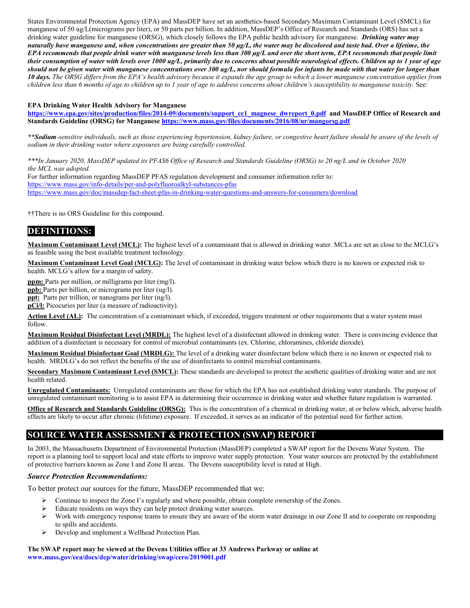States Environmental Protection Agency (EPA) and MassDEP have set an aesthetics‐based Secondary Maximum Contaminant Level (SMCL) for manganese of 50 ug/L(micrograms per liter), or 50 parts per billion. In addition, MassDEP's Office of Research and Standards (ORS) has set a drinking water guideline for manganese (ORSG), which closely follows the EPA public health advisory for manganese. *Drinking water may naturally have manganese and, when concentrations are greater than 50 μg/L, the water may be discolored and taste bad. Over a lifetime, the EPA recommends that people drink water with manganese levels less than 300 μg/L and over the short term, EPA recommends that people limit their consumption of water with levels over 1000 ug/L, primarily due to concerns about possible neurological effects. Children up to 1 year of age should not be given water with manganese concentrations over 300 ug/L, nor should formula for infants be made with that water for longer than 10 days. The ORSG differs from the EPA's health advisory because it expands the age group to which a lower manganese concentration applies from children less than 6 months of age to children up to 1 year of age to address concerns about children's susceptibility to manganese toxicity.* See:

#### **EPA Drinking Water Health Advisory for Manganese**

**[https://www.epa.gov/sites/production/files/2014-09/documents/support\\_cc1\\_magnese\\_dwreport\\_0.pdf](https://www.epa.gov/sites/production/files/2014-09/documents/support_cc1_magnese_dwreport_0.pdf) and MassDEP Office of Research and Standards Guideline (ORSG) for Manganese<https://www.mass.gov/files/documents/2016/08/nr/mangorsg.pdf>**

*\*\*Sodium-sensitive individuals, such as those experiencing hypertension, kidney failure, or congestive heart failure should be aware of the levels of sodium in their drinking water where exposures are being carefully controlled.*

*\*\*\*In January 2020, MassDEP updated its PFAS6 Office of Research and Standards Guideline (ORSG) to 20 ng/L and in October 2020 the MCL was adopted.*  For further information regarding MassDEP PFAS regulation development and consumer information refer to: [https://www.mass.gov/info-details/per-and-polyfluoroalkyl-substances-pfas](https://eur01.safelinks.protection.outlook.com/?url=https%3A%2F%2Fwww.mass.gov%2Finfo-details%2Fper-and-polyfluoroalkyl-substances-pfas&data=04%7C01%7Cshawn.meunier%40suez.com%7C6288fe2793b94f27d1a208d92f63ac9d%7Cf4a12867922d4b9dbb859ee7898512a0%7C0%7C0%7C637592927419960137%7CUnknown%7CTWFpbGZsb3d8eyJWIjoiMC4wLjAwMDAiLCJQIjoiV2luMzIiLCJBTiI6Ik1haWwiLCJXVCI6Mn0%3D%7C1000&sdata=gb7sMssT8BqK5aA7MmcELcJLlxV8wYzlDA88gyS61JM%3D&reserved=0) [https://www.mass.gov/doc/massdep-fact-sheet-pfas-in-drinking-water-questions-and-answers-for-consumers/download](https://eur01.safelinks.protection.outlook.com/?url=https%3A%2F%2Fwww.mass.gov%2Fdoc%2Fmassdep-fact-sheet-pfas-in-drinking-water-questions-and-answers-for-consumers%2Fdownload&data=04%7C01%7Cshawn.meunier%40suez.com%7C6288fe2793b94f27d1a208d92f63ac9d%7Cf4a12867922d4b9dbb859ee7898512a0%7C0%7C0%7C637592927419960137%7CUnknown%7CTWFpbGZsb3d8eyJWIjoiMC4wLjAwMDAiLCJQIjoiV2luMzIiLCJBTiI6Ik1haWwiLCJXVCI6Mn0%3D%7C1000&sdata=p32wbLqM1GZ7iTJNMLr1Bg4BsMXJlM14DA8HqJkfNds%3D&reserved=0)

††There is no ORS Guideline for this compound.

## **DEFINITIONS::**

**Maximum Contaminant Level (MCL):** The highest level of a contaminant that is allowed in drinking water. MCLs are set as close to the MCLG's as feasible using the best available treatment technology.

**Maximum Contaminant Level Goal (MCLG):** The level of contaminant in drinking water below which there is no known or expected risk to health. MCLG's allow for a margin of safety.

**ppm:** Parts per million, or milligrams per liter (mg/l).

**ppb:** Parts per billion, or micrograms per liter (ug/l).

**ppt:** Parts per trillion, or nanograms per liter (ng/l).

**pCi/l:** Picocuries per liter (a measure of radioactivity).

Action Level (AL): The concentration of a contaminant which, if exceeded, triggers treatment or other requirements that a water system must follow.

**Maximum Residual Disinfectant Level (MRDL):** The highest level of a disinfectant allowed in drinking water. There is convincing evidence that addition of a disinfectant is necessary for control of microbial contaminants (ex. Chlorine, chloramines, chloride dioxide).

**Maximum Residual Disinfectant Goal (MRDLG):** The level of a drinking water disinfectant below which there is no known or expected risk to health. MRDLG's do not reflect the benefits of the use of disinfectants to control microbial contaminants.

**Secondary Maximum Contaminant Level (SMCL):** These standards are developed to protect the aesthetic qualities of drinking water and are not health related.

**Unregulated Contaminants:** Unregulated contaminants are those for which the EPA has not established drinking water standards. The purpose of unregulated contaminant monitoring is to assist EPA in determining their occurrence in drinking water and whether future regulation is warranted.

**Office of Research and Standards Guideline (ORSG):** This is the concentration of a chemical in drinking water, at or below which, adverse health effects are likely to occur after chronic (lifetime) exposure. If exceeded, it serves as an indicator of the potential need for further action.

### **SOURCE WATER ASSESSMENT & PROTECTION (SWAP) REPORT**

In 2003, the Massachusetts Department of Environmental Protection (MassDEP) completed a SWAP report for the Devens Water System. The report is a planning tool to support local and state efforts to improve water supply protection. Your water sources are protected by the establishment of protective barriers known as Zone I and Zone II areas. The Devens susceptibility level is rated at High.

#### *Source Protection Recommendations:*

To better protect our sources for the future, MassDEP recommended that we:

- $\triangleright$  Continue to inspect the Zone I's regularly and where possible, obtain complete ownership of the Zones.
- Educate residents on ways they can help protect drinking water sources.
- $\triangleright$  Work with emergency response teams to ensure they are aware of the storm water drainage in our Zone II and to cooperate on responding to spills and accidents.
- Develop and implement a Wellhead Protection Plan.

#### **The SWAP report may be viewed at the Devens Utilities office at 33 Andrews Parkway or online at [www.mass.gov/eea/docs/dep/water/drinking/swap/cero/2019001.pdf](http://www.mass.gov/eea/docs/dep/water/drinking/swap/cero/2019001.pdf)**